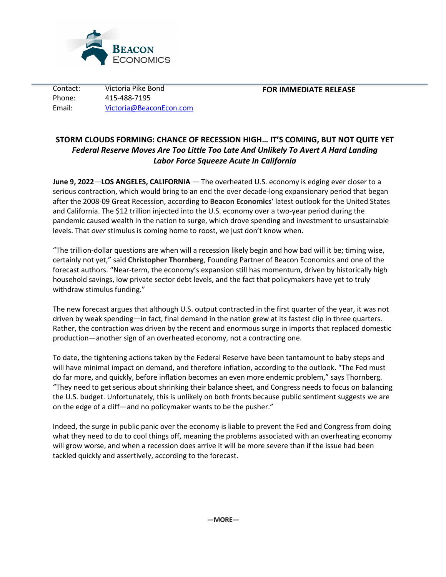

Contact: Victoria Pike Bond Phone: 415-488-7195 Email: Victoria@BeaconEcon.com

## **FOR IMMEDIATE RELEASE**

# **STORM CLOUDS FORMING: CHANCE OF RECESSION HIGH… IT'S COMING, BUT NOT QUITE YET** *Federal Reserve Moves Are Too Little Too Late And Unlikely To Avert A Hard Landing Labor Force Squeeze Acute In California*

**June 9, 2022**—**LOS ANGELES, CALIFORNIA** — The overheated U.S. economy is edging ever closer to a serious contraction, which would bring to an end the over decade-long expansionary period that began after the 2008-09 Great Recession, according to **Beacon Economics**' latest outlook for the United States and California. The \$12 trillion injected into the U.S. economy over a two-year period during the pandemic caused wealth in the nation to surge, which drove spending and investment to unsustainable levels. That *over* stimulus is coming home to roost, we just don't know when.

"The trillion-dollar questions are when will a recession likely begin and how bad will it be; timing wise, certainly not yet," said **Christopher Thornberg**, Founding Partner of Beacon Economics and one of the forecast authors. "Near-term, the economy's expansion still has momentum, driven by historically high household savings, low private sector debt levels, and the fact that policymakers have yet to truly withdraw stimulus funding."

The new forecast argues that although U.S. output contracted in the first quarter of the year, it was not driven by weak spending—in fact, final demand in the nation grew at its fastest clip in three quarters. Rather, the contraction was driven by the recent and enormous surge in imports that replaced domestic production—another sign of an overheated economy, not a contracting one.

To date, the tightening actions taken by the Federal Reserve have been tantamount to baby steps and will have minimal impact on demand, and therefore inflation, according to the outlook. "The Fed must do far more, and quickly, before inflation becomes an even more endemic problem," says Thornberg. "They need to get serious about shrinking their balance sheet, and Congress needs to focus on balancing the U.S. budget. Unfortunately, this is unlikely on both fronts because public sentiment suggests we are on the edge of a cliff—and no policymaker wants to be the pusher."

Indeed, the surge in public panic over the economy is liable to prevent the Fed and Congress from doing what they need to do to cool things off, meaning the problems associated with an overheating economy will grow worse, and when a recession does arrive it will be more severe than if the issue had been tackled quickly and assertively, according to the forecast.

**—MORE—**